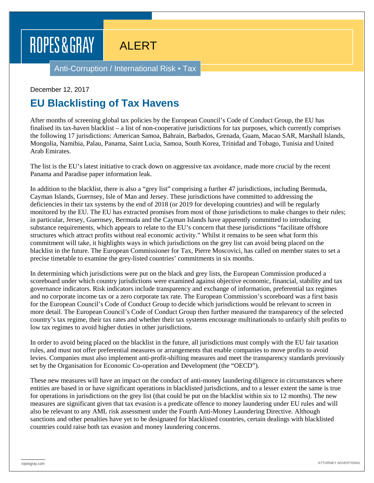## ROPES & GRAY

## ALERT

Anti-Corruption / International Risk • Tax

## December 12, 2017

## **EU Blacklisting of Tax Havens**

After months of screening global tax policies by the European Council's Code of Conduct Group, the EU has finalised its tax-haven blacklist – a list of non-cooperative jurisdictions for tax purposes, which currently comprises the following 17 jurisdictions: American Samoa, Bahrain, Barbados, Grenada, Guam, Macao SAR, Marshall Islands, Mongolia, Namibia, Palau, Panama, Saint Lucia, Samoa, South Korea, Trinidad and Tobago, Tunisia and United Arab Emirates.

The list is the EU's latest initiative to crack down on aggressive tax avoidance, made more crucial by the recent Panama and Paradise paper information leak.

In addition to the blacklist, there is also a "grey list" comprising a further 47 jurisdictions, including Bermuda, Cayman Islands, Guernsey, Isle of Man and Jersey. These jurisdictions have committed to addressing the deficiencies in their tax systems by the end of 2018 (or 2019 for developing countries) and will be regularly monitored by the EU. The EU has extracted promises from most of those jurisdictions to make changes to their rules; in particular, Jersey, Guernsey, Bermuda and the Cayman Islands have apparently committed to introducing substance requirements, which appears to relate to the EU's concern that these jurisdictions "facilitate offshore structures which attract profits without real economic activity." Whilst it remains to be seen what form this commitment will take, it highlights ways in which jurisdictions on the grey list can avoid being placed on the blacklist in the future. The European Commissioner for Tax, Pierre Moscovici, has called on member states to set a precise timetable to examine the grey-listed countries' commitments in six months.

In determining which jurisdictions were put on the black and grey lists, the European Commission produced a scoreboard under which country jurisdictions were examined against objective economic, financial, stability and tax governance indicators. Risk indicators include transparency and exchange of information, preferential tax regimes and no corporate income tax or a zero corporate tax rate. The European Commission's scoreboard was a first basis for the European Council's Code of Conduct Group to decide which jurisdictions would be relevant to screen in more detail. The European Council's Code of Conduct Group then further measured the transparency of the selected country's tax regime, their tax rates and whether their tax systems encourage multinationals to unfairly shift profits to low tax regimes to avoid higher duties in other jurisdictions.

In order to avoid being placed on the blacklist in the future, all jurisdictions must comply with the EU fair taxation rules, and must not offer preferential measures or arrangements that enable companies to move profits to avoid levies. Companies must also implement anti-profit-shifting measures and meet the transparency standards previously set by the Organisation for Economic Co-operation and Development (the "OECD").

These new measures will have an impact on the conduct of anti-money laundering diligence in circumstances where entities are based in or have significant operations in blacklisted jurisdictions, and to a lesser extent the same is true for operations in jurisdictions on the grey list (that could be put on the blacklist within six to 12 months). The new measures are significant given that tax evasion is a predicate offence to money laundering under EU rules and will also be relevant to any AML risk assessment under the Fourth Anti-Money Laundering Directive. Although sanctions and other penalties have yet to be designated for blacklisted countries, certain dealings with blacklisted countries could raise both tax evasion and money laundering concerns.